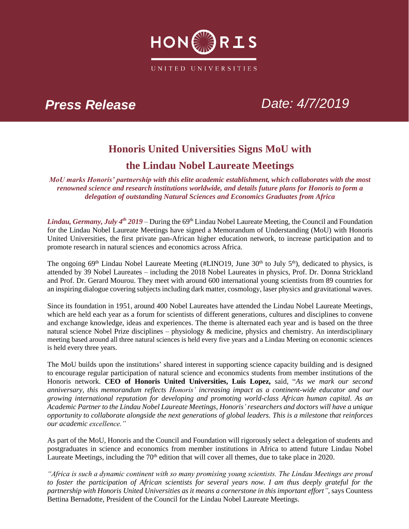

# *Press Release Date: 4/7/2019*

## **Honoris United Universities Signs MoU with the Lindau Nobel Laureate Meetings**

*MoU marks Honoris' partnership with this elite academic establishment, which collaborates with the most renowned science and research institutions worldwide, and details future plans for Honoris to form a delegation of outstanding Natural Sciences and Economics Graduates from Africa* 

*Lindau, Germany, July 4<sup>th</sup> 2019* – During the 69<sup>th</sup> Lindau Nobel Laureate Meeting, the Council and Foundation for the Lindau Nobel Laureate Meetings have signed a Memorandum of Understanding (MoU) with Honoris United Universities, the first private pan-African higher education network, to increase participation and to promote research in natural sciences and economics across Africa.

The ongoing 69<sup>th</sup> Lindau Nobel Laureate Meeting (#LINO19, June 30<sup>th</sup> to July 5<sup>th</sup>), dedicated to physics, is attended by 39 Nobel Laureates – including the 2018 Nobel Laureates in physics, Prof. Dr. Donna Strickland and Prof. Dr. Gerard Mourou. They meet with around 600 international young scientists from 89 countries for an inspiring dialogue covering subjects including dark matter, cosmology, laser physics and gravitational waves.

Since its foundation in 1951, around 400 Nobel Laureates have attended the Lindau Nobel Laureate Meetings, which are held each year as a forum for scientists of different generations, cultures and disciplines to convene and exchange knowledge, ideas and experiences. The theme is alternated each year and is based on the three natural science Nobel Prize disciplines – physiology & medicine, physics and chemistry. An interdisciplinary meeting based around all three natural sciences is held every five years and a Lindau Meeting on economic sciences is held every three years.

The MoU builds upon the institutions' shared interest in supporting science capacity building and is designed to encourage regular participation of natural science and economics students from member institutions of the Honoris network. **CEO of Honoris United Universities, Luis Lopez,** said, "*As we mark our second anniversary, this memorandum reflects Honoris' increasing impact as a continent-wide educator and our growing international reputation for developing and promoting world-class African human capital. As an Academic Partner to the Lindau Nobel Laureate Meetings, Honoris' researchers and doctors will have a unique opportunity to collaborate alongside the next generations of global leaders. This is a milestone that reinforces our academic excellence."*

As part of the MoU, Honoris and the Council and Foundation will rigorously select a delegation of students and postgraduates in science and economics from member institutions in Africa to attend future Lindau Nobel Laureate Meetings, including the 70<sup>th</sup> edition that will cover all themes, due to take place in 2020.

*"Africa is such a dynamic continent with so many promising young scientists. The Lindau Meetings are proud to foster the participation of African scientists for several years now. I am thus deeply grateful for the partnership with Honoris United Universities as it means a cornerstone in this important effort",* says Countess Bettina Bernadotte, President of the Council for the Lindau Nobel Laureate Meetings.